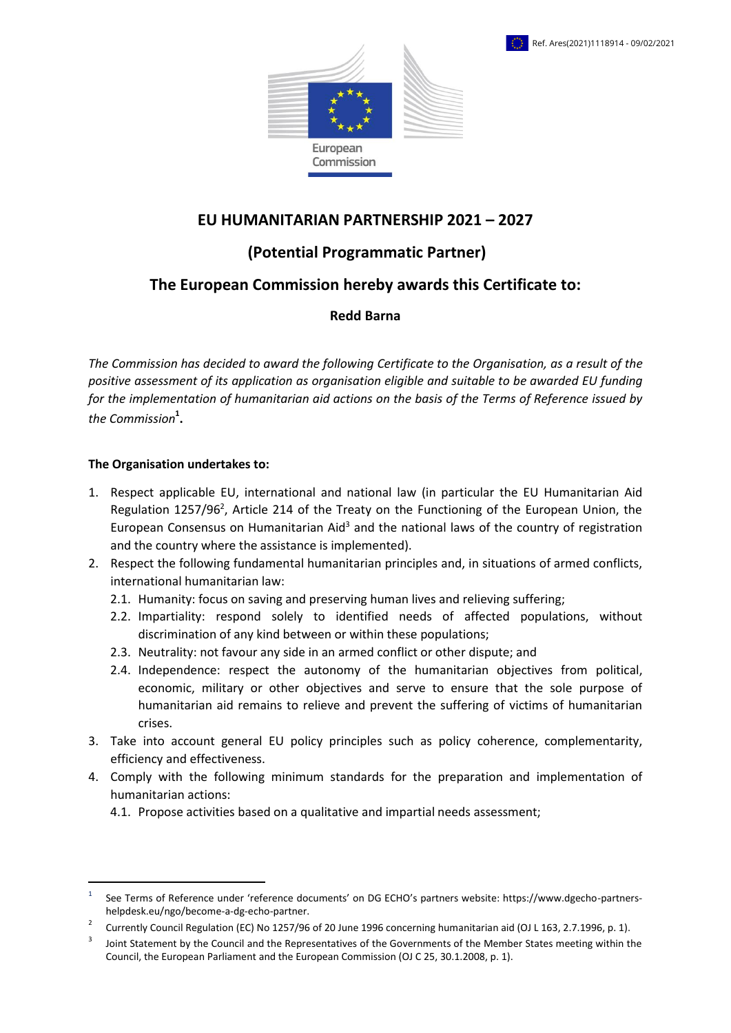

## **EU HUMANITARIAN PARTNERSHIP 2021 – 2027**

# **(Potential Programmatic Partner)**

## **The European Commission hereby awards this Certificate to:**

### **Redd Barna**

*The Commission has decided to award the following Certificate to the Organisation, as a result of the positive assessment of its application as organisation eligible and suitable to be awarded EU funding for the implementation of humanitarian aid actions on the basis of the Terms of Reference issued by the Commission***<sup>1</sup> .**

#### **The Organisation undertakes to:**

**.** 

- 1. Respect applicable EU, international and national law (in particular the EU Humanitarian Aid Regulation [1257/96](https://eur-lex.europa.eu/legal-content/EN/ALL/?uri=CELEX:31996R1257&qid=1588057893626)<sup>2</sup>, Article 214 of the Treaty on the Functioning of the European Union, the European Consensus on Humanitarian Aid<sup>3</sup> and the national laws of the country of registration and the country where the assistance is implemented).
- 2. Respect the following fundamental humanitarian principles and, in situations of armed conflicts, international humanitarian law:
	- 2.1. Humanity: focus on saving and preserving human lives and relieving suffering;
	- 2.2. Impartiality: respond solely to identified needs of affected populations, without discrimination of any kind between or within these populations;
	- 2.3. Neutrality: not favour any side in an armed conflict or other dispute; and
	- 2.4. Independence: respect the autonomy of the humanitarian objectives from political, economic, military or other objectives and serve to ensure that the sole purpose of humanitarian aid remains to relieve and prevent the suffering of victims of humanitarian crises.
- 3. Take into account general EU policy principles such as policy coherence, complementarity, efficiency and effectiveness.
- 4. Comply with the following minimum standards for the preparation and implementation of humanitarian actions:
	- 4.1. Propose activities based on a qualitative and impartial needs assessment;

<sup>1</sup> See Terms of Reference under 'reference documents' on DG ECHO's partners website: https://www.dgecho-partnershelpdesk.eu/ngo/become-a-dg-echo-partner.

<sup>2</sup> Currently Council Regulation (EC) No 1257/96 of 20 June 1996 concerning humanitarian aid (OJ L 163, 2.7.1996, p. 1).

<sup>3</sup> Joint Statement by the Council and the Representatives of the Governments of the Member States meeting within the Council, the European Parliament and the European Commission (OJ C 25, 30.1.2008, p. 1).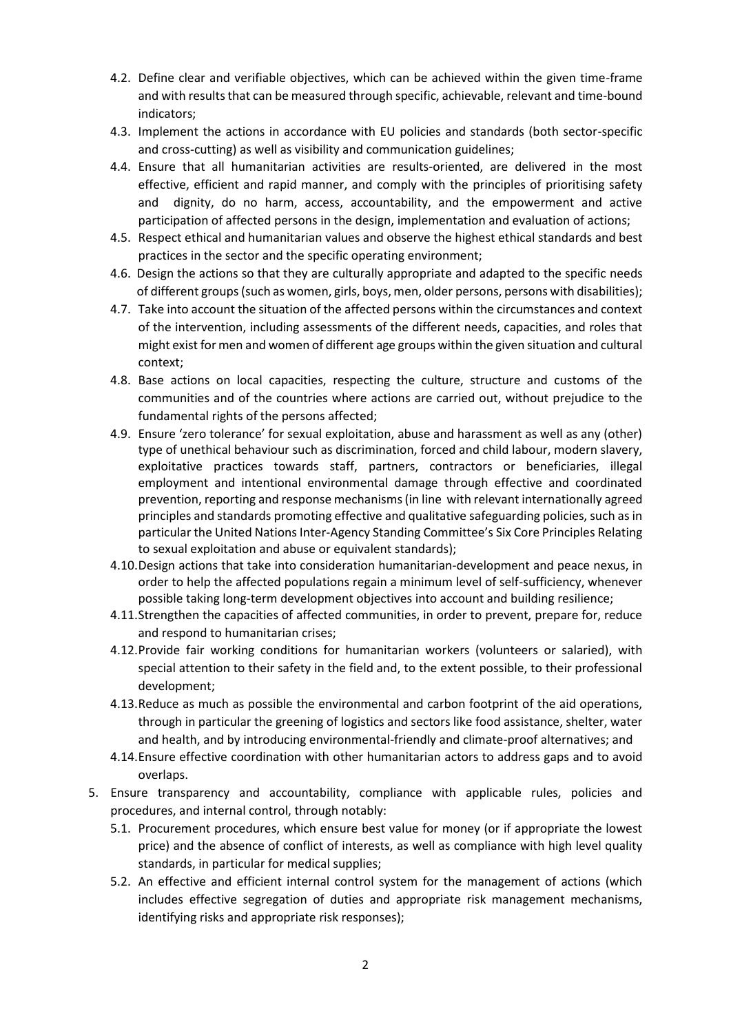- 4.2. Define clear and verifiable objectives, which can be achieved within the given time-frame and with results that can be measured through specific, achievable, relevant and time-bound indicators;
- 4.3. Implement the actions in accordance with EU policies and standards (both sector-specific and cross-cutting) as well as visibility and communication guidelines;
- 4.4. Ensure that all humanitarian activities are results-oriented, are delivered in the most effective, efficient and rapid manner, and comply with the principles of prioritising safety and dignity, do no harm, access, accountability, and the empowerment and active participation of affected persons in the design, implementation and evaluation of actions;
- 4.5. Respect ethical and humanitarian values and observe the highest ethical standards and best practices in the sector and the specific operating environment;
- 4.6. Design the actions so that they are culturally appropriate and adapted to the specific needs of different groups (such as women, girls, boys, men, older persons, persons with disabilities);
- 4.7. Take into account the situation of the affected persons within the circumstances and context of the intervention, including assessments of the different needs, capacities, and roles that might exist for men and women of different age groups within the given situation and cultural context;
- 4.8. Base actions on local capacities, respecting the culture, structure and customs of the communities and of the countries where actions are carried out, without prejudice to the fundamental rights of the persons affected;
- 4.9. Ensure 'zero tolerance' for sexual exploitation, abuse and harassment as well as any (other) type of unethical behaviour such as discrimination, forced and child labour, modern slavery, exploitative practices towards staff, partners, contractors or beneficiaries, illegal employment and intentional environmental damage through effective and coordinated prevention, reporting and response mechanisms (in line with relevant internationally agreed principles and standards promoting effective and qualitative safeguarding policies, such as in particular the United Nations Inter-Agency Standing Committee's Six Core Principles Relating to sexual exploitation and abuse or equivalent standards);
- 4.10.Design actions that take into consideration humanitarian-development and peace nexus, in order to help the affected populations regain a minimum level of self-sufficiency, whenever possible taking long-term development objectives into account and building resilience;
- 4.11.Strengthen the capacities of affected communities, in order to prevent, prepare for, reduce and respond to humanitarian crises;
- 4.12.Provide fair working conditions for humanitarian workers (volunteers or salaried), with special attention to their safety in the field and, to the extent possible, to their professional development;
- 4.13.Reduce as much as possible the environmental and carbon footprint of the aid operations, through in particular the greening of logistics and sectors like food assistance, shelter, water and health, and by introducing environmental-friendly and climate-proof alternatives; and
- 4.14.Ensure effective coordination with other humanitarian actors to address gaps and to avoid overlaps.
- 5. Ensure transparency and accountability, compliance with applicable rules, policies and procedures, and internal control, through notably:
	- 5.1. Procurement procedures, which ensure best value for money (or if appropriate the lowest price) and the absence of conflict of interests, as well as compliance with high level quality standards, in particular for medical supplies;
	- 5.2. An effective and efficient internal control system for the management of actions (which includes effective segregation of duties and appropriate risk management mechanisms, identifying risks and appropriate risk responses);